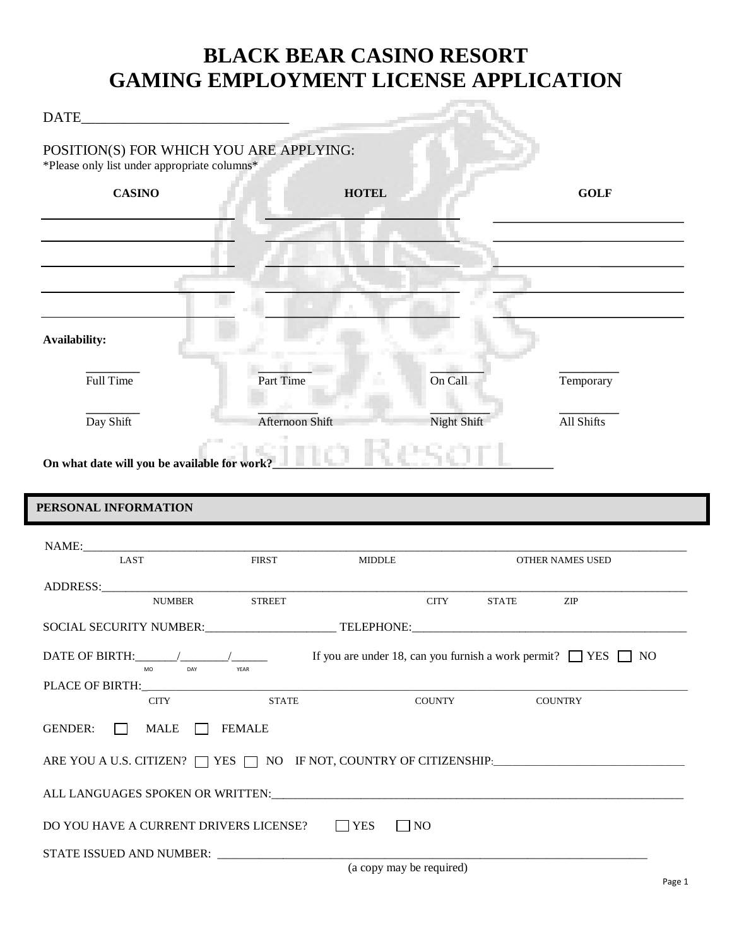# **BLACK BEAR CASINO RESORT GAMING EMPLOYMENT LICENSE APPLICATION**

| POSITION(S) FOR WHICH YOU ARE APPLYING:<br>*Please only list under appropriate columns* |                 |                         |                                                                              |
|-----------------------------------------------------------------------------------------|-----------------|-------------------------|------------------------------------------------------------------------------|
| <b>CASINO</b>                                                                           |                 | <b>HOTEL</b>            | <b>GOLF</b>                                                                  |
|                                                                                         |                 |                         |                                                                              |
|                                                                                         |                 |                         |                                                                              |
|                                                                                         |                 |                         |                                                                              |
|                                                                                         |                 |                         |                                                                              |
| Availability:                                                                           |                 |                         |                                                                              |
| Full Time                                                                               | Part Time       | On Call                 | Temporary                                                                    |
|                                                                                         |                 |                         |                                                                              |
| Day Shift                                                                               | Afternoon Shift | <b>Night Shift</b>      | All Shifts                                                                   |
|                                                                                         |                 |                         |                                                                              |
| On what date will you be available for work?<br>PERSONAL INFORMATION                    |                 |                         |                                                                              |
| <b>LAST</b>                                                                             | <b>FIRST</b>    | <b>MIDDLE</b>           | OTHER NAMES USED                                                             |
| <b>NUMBER</b>                                                                           | <b>STREET</b>   | <b>CITY</b>             | ZIP<br><b>STATE</b>                                                          |
| SOCIAL SECURITY NUMBER: TELEPHONE:                                                      |                 |                         |                                                                              |
| DATE OF BIRTH:                                                                          |                 |                         | If you are under 18, can you furnish a work permit? $\Box$ YES $\Box$ NO     |
| MO<br>DAY<br>PLACE OF BIRTH:                                                            | YEAR            |                         |                                                                              |
| <b>CITY</b>                                                                             | <b>STATE</b>    | <b>COUNTY</b>           | <b>COUNTRY</b>                                                               |
| <b>GENDER:</b><br><b>MALE</b>                                                           | <b>FEMALE</b>   |                         |                                                                              |
|                                                                                         |                 |                         | ARE YOU A U.S. CITIZEN? $\Box$ YES $\Box$ NO IF NOT, COUNTRY OF CITIZENSHIP: |
|                                                                                         |                 |                         |                                                                              |
| DO YOU HAVE A CURRENT DRIVERS LICENSE?                                                  |                 | $\Box$ NO<br>$\Box$ YES |                                                                              |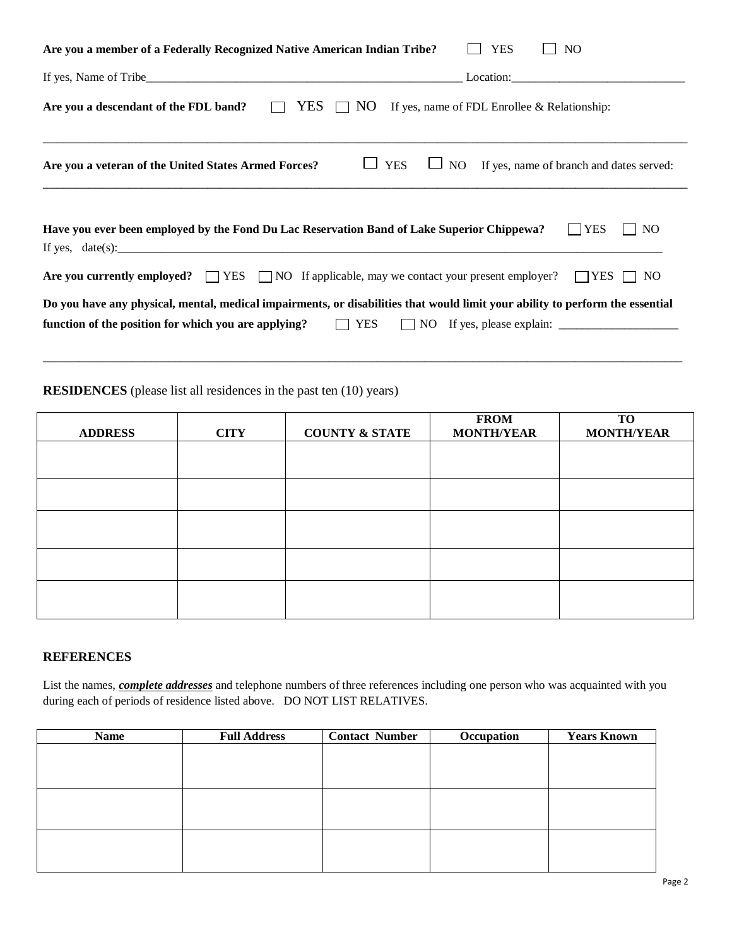| Are you a member of a Federally Recognized Native American Indian Tribe?<br><b>YES</b><br>NO.                                      |
|------------------------------------------------------------------------------------------------------------------------------------|
| Location:                                                                                                                          |
| YES $\Box$ NO<br>Are you a descendant of the FDL band?<br>If yes, name of FDL Enrollee & Relationship:<br>$\overline{\phantom{a}}$ |
| $\Box$ YES<br>NO If yes, name of branch and dates served:<br>Are you a veteran of the United States Armed Forces?                  |
| Have you ever been employed by the Fond Du Lac Reservation Band of Lake Superior Chippewa?<br><b>YES</b><br>N <sub>O</sub>         |
| Are you currently employed? $\Box$ YES $\Box$ NO If applicable, may we contact your present employer?<br>$\Box$ YES<br>$\Box$ No   |
| Do you have any physical, mental, medical impairments, or disabilities that would limit your ability to perform the essential      |
| <b>YES</b><br>function of the position for which you are applying?                                                                 |
|                                                                                                                                    |

**RESIDENCES** (please list all residences in the past ten (10) years)

| <b>ADDRESS</b> | <b>CITY</b> | <b>COUNTY &amp; STATE</b> | <b>FROM</b><br><b>MONTH/YEAR</b> | <b>TO</b><br><b>MONTH/YEAR</b> |
|----------------|-------------|---------------------------|----------------------------------|--------------------------------|
|                |             |                           |                                  |                                |
|                |             |                           |                                  |                                |
|                |             |                           |                                  |                                |
|                |             |                           |                                  |                                |
|                |             |                           |                                  |                                |
|                |             |                           |                                  |                                |
|                |             |                           |                                  |                                |

## **REFERENCES**

List the names, *complete addresses* and telephone numbers of three references including one person who was acquainted with you during each of periods of residence listed above. DO NOT LIST RELATIVES.

| <b>Name</b> | <b>Full Address</b> | <b>Contact Number</b> | Occupation | <b>Years Known</b> |
|-------------|---------------------|-----------------------|------------|--------------------|
|             |                     |                       |            |                    |
|             |                     |                       |            |                    |
|             |                     |                       |            |                    |
|             |                     |                       |            |                    |
|             |                     |                       |            |                    |
|             |                     |                       |            |                    |
|             |                     |                       |            |                    |
|             |                     |                       |            |                    |
|             |                     |                       |            |                    |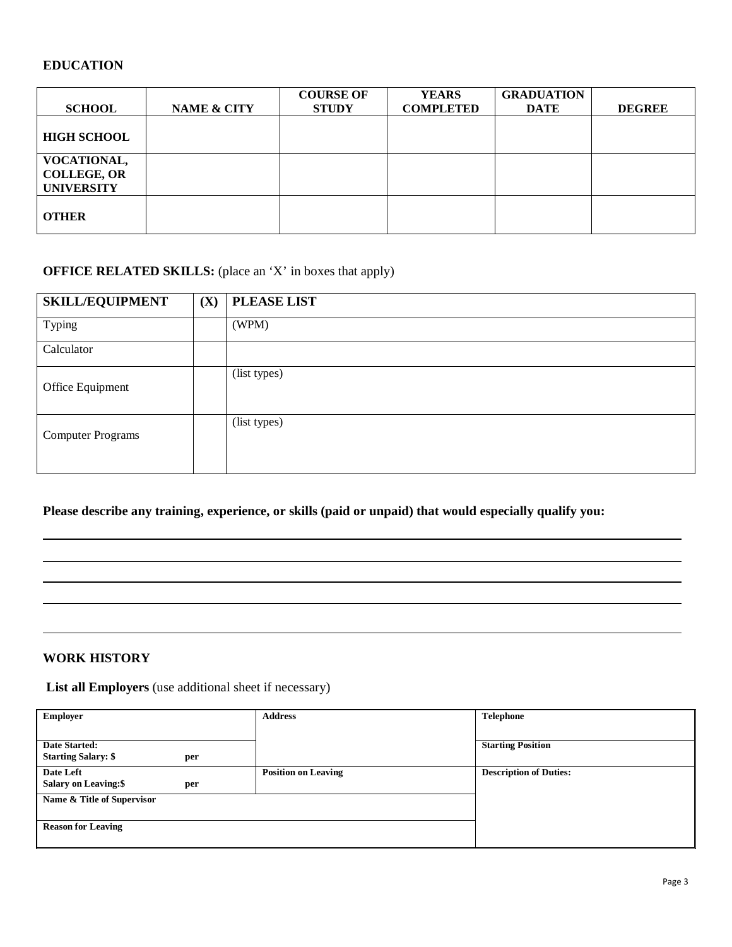### **EDUCATION**

|                                                               |             | <b>COURSE OF</b> | <b>YEARS</b>     | <b>GRADUATION</b> |               |
|---------------------------------------------------------------|-------------|------------------|------------------|-------------------|---------------|
| <b>SCHOOL</b>                                                 | NAME & CITY | <b>STUDY</b>     | <b>COMPLETED</b> | <b>DATE</b>       | <b>DEGREE</b> |
| <b>HIGH SCHOOL</b>                                            |             |                  |                  |                   |               |
| <b>VOCATIONAL,</b><br><b>COLLEGE, OR</b><br><b>UNIVERSITY</b> |             |                  |                  |                   |               |
| <b>OTHER</b>                                                  |             |                  |                  |                   |               |

### **OFFICE RELATED SKILLS:** (place an 'X' in boxes that apply)

| <b>SKILL/EQUIPMENT</b>   | (X) | <b>PLEASE LIST</b> |
|--------------------------|-----|--------------------|
| Typing                   |     | (WPM)              |
| Calculator               |     |                    |
| Office Equipment         |     | (list types)       |
| <b>Computer Programs</b> |     | (list types)       |

**Please describe any training, experience, or skills (paid or unpaid) that would especially qualify you:**

### **WORK HISTORY**

**List all Employers** (use additional sheet if necessary)

| <b>Employer</b>                    | <b>Address</b>             | <b>Telephone</b>              |
|------------------------------------|----------------------------|-------------------------------|
|                                    |                            |                               |
| Date Started:                      |                            | <b>Starting Position</b>      |
| <b>Starting Salary: \$</b><br>per  |                            |                               |
| Date Left                          | <b>Position on Leaving</b> | <b>Description of Duties:</b> |
| <b>Salary on Leaving:\$</b><br>per |                            |                               |
| Name & Title of Supervisor         |                            |                               |
|                                    |                            |                               |
| <b>Reason for Leaving</b>          |                            |                               |
|                                    |                            |                               |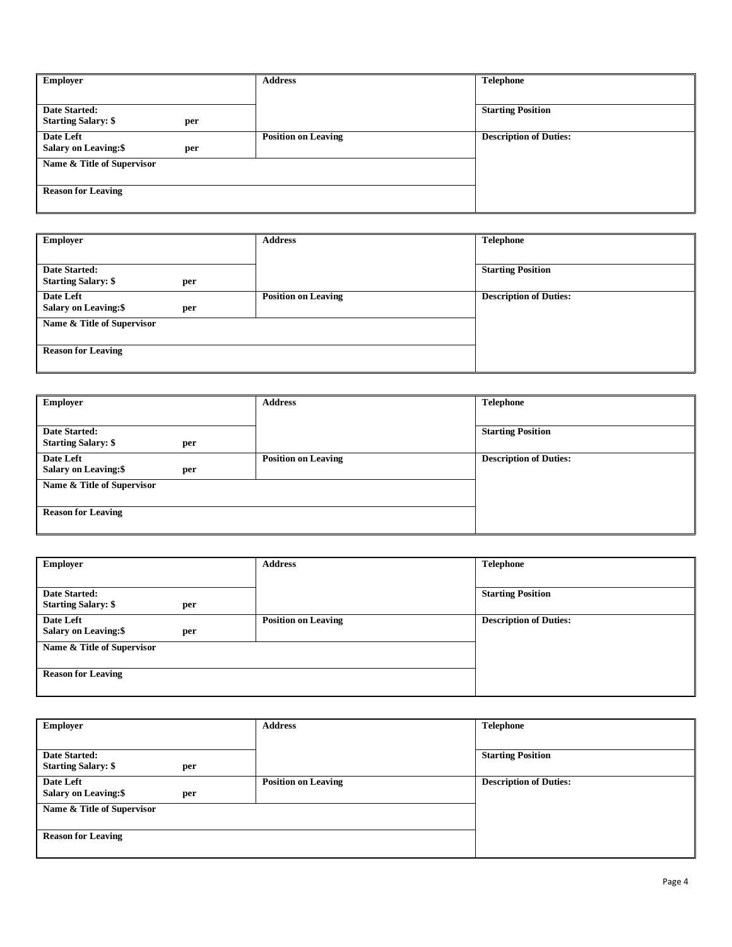| Employer                           | <b>Address</b>             | <b>Telephone</b>              |
|------------------------------------|----------------------------|-------------------------------|
|                                    |                            |                               |
| Date Started:                      |                            | <b>Starting Position</b>      |
| <b>Starting Salary: \$</b><br>per  |                            |                               |
| Date Left                          | <b>Position on Leaving</b> | <b>Description of Duties:</b> |
| <b>Salary on Leaving:\$</b><br>per |                            |                               |
| Name & Title of Supervisor         |                            |                               |
|                                    |                            |                               |
| <b>Reason for Leaving</b>          |                            |                               |
|                                    |                            |                               |

| <b>Employer</b>                    | <b>Address</b>             | <b>Telephone</b>              |
|------------------------------------|----------------------------|-------------------------------|
|                                    |                            |                               |
| <b>Date Started:</b>               |                            | <b>Starting Position</b>      |
| <b>Starting Salary: \$</b><br>per  |                            |                               |
| Date Left                          | <b>Position on Leaving</b> | <b>Description of Duties:</b> |
| <b>Salary on Leaving:\$</b><br>per |                            |                               |
| Name & Title of Supervisor         |                            |                               |
|                                    |                            |                               |
| <b>Reason for Leaving</b>          |                            |                               |
|                                    |                            |                               |

| <b>Employer</b>                     | <b>Address</b>             | <b>Telephone</b>              |
|-------------------------------------|----------------------------|-------------------------------|
|                                     |                            |                               |
| <b>Date Started:</b>                |                            | <b>Starting Position</b>      |
| <b>Starting Salary: \$</b><br>per   |                            |                               |
| Date Left                           | <b>Position on Leaving</b> | <b>Description of Duties:</b> |
| <b>Salary on Leaving: \$</b><br>per |                            |                               |
| Name & Title of Supervisor          |                            |                               |
|                                     |                            |                               |
| <b>Reason for Leaving</b>           |                            |                               |
|                                     |                            |                               |

| <b>Employer</b>                    | <b>Address</b>             | <b>Telephone</b>              |
|------------------------------------|----------------------------|-------------------------------|
|                                    |                            |                               |
| Date Started:                      |                            | <b>Starting Position</b>      |
| <b>Starting Salary: \$</b><br>per  |                            |                               |
| Date Left                          | <b>Position on Leaving</b> | <b>Description of Duties:</b> |
| <b>Salary on Leaving:\$</b><br>per |                            |                               |
| Name & Title of Supervisor         |                            |                               |
|                                    |                            |                               |
| <b>Reason for Leaving</b>          |                            |                               |
|                                    |                            |                               |

| <b>Employer</b>                    | <b>Address</b>             | <b>Telephone</b>              |
|------------------------------------|----------------------------|-------------------------------|
|                                    |                            |                               |
| Date Started:                      |                            | <b>Starting Position</b>      |
| <b>Starting Salary: \$</b><br>per  |                            |                               |
| Date Left                          | <b>Position on Leaving</b> | <b>Description of Duties:</b> |
| <b>Salary on Leaving:\$</b><br>per |                            |                               |
| Name & Title of Supervisor         |                            |                               |
|                                    |                            |                               |
| <b>Reason for Leaving</b>          |                            |                               |
|                                    |                            |                               |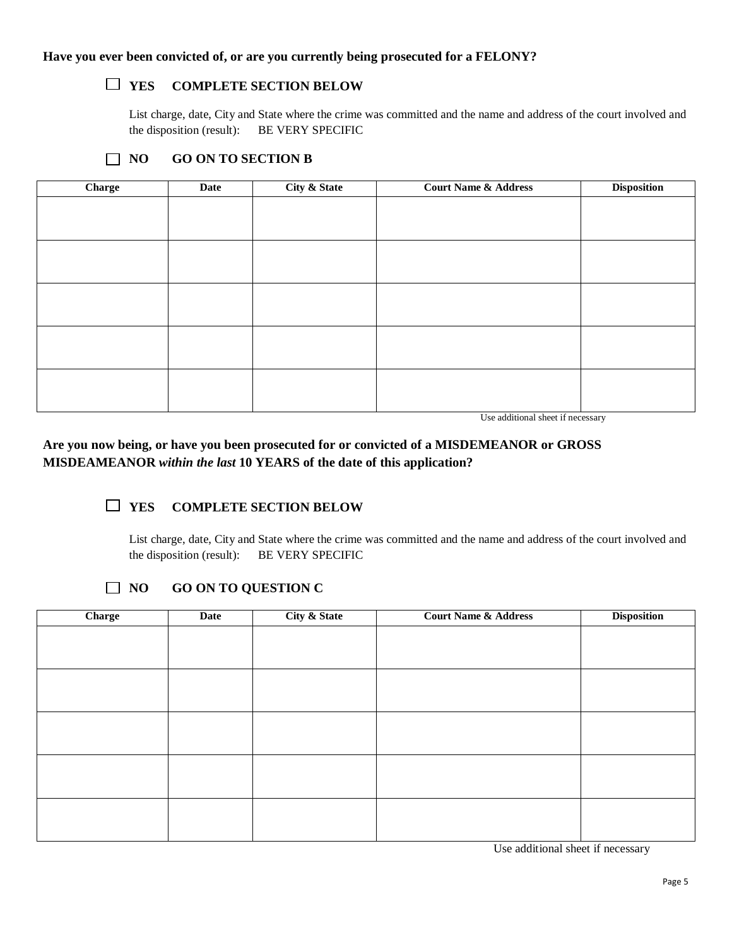## **YES COMPLETE SECTION BELOW**

List charge, date, City and State where the crime was committed and the name and address of the court involved and the disposition (result): BE VERY SPECIFIC

| <b>GO ON TO SECTION B</b><br>$\overline{1}$ NO |
|------------------------------------------------|
|------------------------------------------------|

| Charge | Date | <b>City &amp; State</b> | <b>Court Name &amp; Address</b> | <b>Disposition</b> |
|--------|------|-------------------------|---------------------------------|--------------------|
|        |      |                         |                                 |                    |
|        |      |                         |                                 |                    |
|        |      |                         |                                 |                    |
|        |      |                         |                                 |                    |
|        |      |                         |                                 |                    |
|        |      |                         |                                 |                    |
|        |      |                         |                                 |                    |
|        |      |                         |                                 |                    |
|        |      |                         |                                 |                    |
|        |      |                         |                                 |                    |
|        |      |                         |                                 |                    |
|        |      |                         |                                 |                    |
|        |      |                         |                                 |                    |
|        |      |                         |                                 |                    |
|        |      |                         |                                 |                    |
|        |      |                         |                                 |                    |

Use additional sheet if necessary

**Are you now being, or have you been prosecuted for or convicted of a MISDEMEANOR or GROSS MISDEAMEANOR** *within the last* **10 YEARS of the date of this application?**

### **YES COMPLETE SECTION BELOW**

List charge, date, City and State where the crime was committed and the name and address of the court involved and the disposition (result): BE VERY SPECIFIC

### **NO GO ON TO QUESTION C**

| Date | City & State | <b>Court Name &amp; Address</b> | <b>Disposition</b> |
|------|--------------|---------------------------------|--------------------|
|      |              |                                 |                    |
|      |              |                                 |                    |
|      |              |                                 |                    |
|      |              |                                 |                    |
|      |              |                                 |                    |
|      |              |                                 |                    |
|      |              |                                 |                    |
|      |              |                                 |                    |
|      |              |                                 |                    |
|      |              |                                 |                    |
|      |              |                                 |                    |
|      |              |                                 |                    |
|      |              |                                 |                    |

Use additional sheet if necessary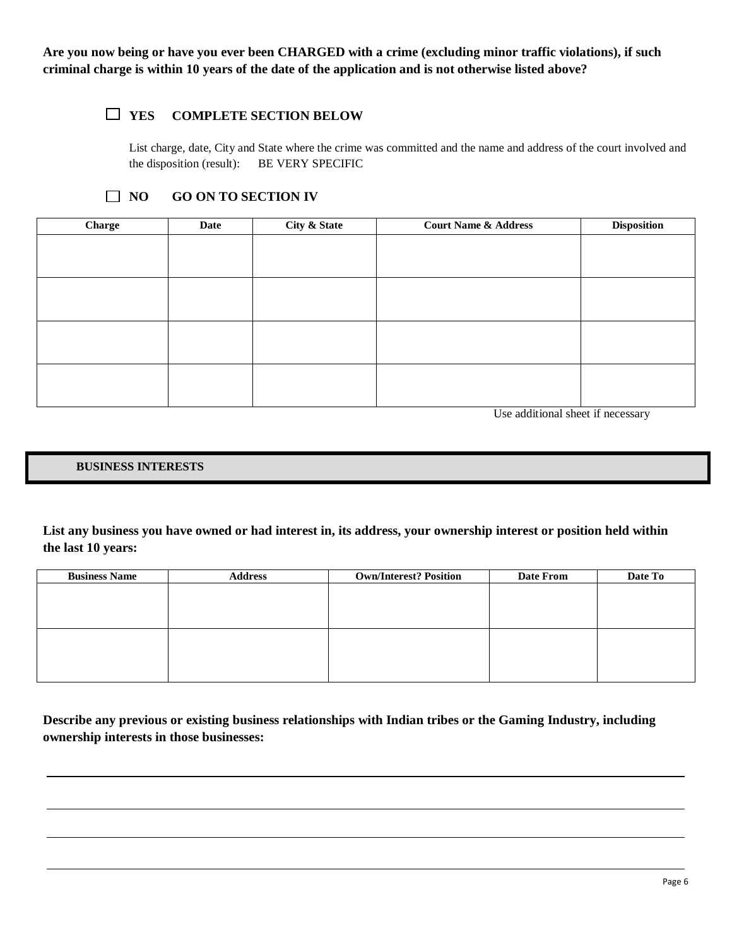**Are you now being or have you ever been CHARGED with a crime (excluding minor traffic violations), if such criminal charge is within 10 years of the date of the application and is not otherwise listed above?**

### **YES COMPLETE SECTION BELOW**

List charge, date, City and State where the crime was committed and the name and address of the court involved and the disposition (result): BE VERY SPECIFIC

### **NO GO ON TO SECTION IV**

| Charge | Date | City & State | <b>Court Name &amp; Address</b> | <b>Disposition</b> |
|--------|------|--------------|---------------------------------|--------------------|
|        |      |              |                                 |                    |
|        |      |              |                                 |                    |
|        |      |              |                                 |                    |
|        |      |              |                                 |                    |
|        |      |              |                                 |                    |
|        |      |              |                                 |                    |
|        |      |              |                                 |                    |
|        |      |              |                                 |                    |
|        |      |              |                                 |                    |
|        |      |              |                                 |                    |
|        |      |              |                                 |                    |
|        |      |              |                                 |                    |

Use additional sheet if necessary

#### **BUSINESS INTERESTS**

**List any business you have owned or had interest in, its address, your ownership interest or position held within the last 10 years:**

| <b>Business Name</b> | <b>Address</b> | <b>Own/Interest? Position</b> | Date From | Date To |
|----------------------|----------------|-------------------------------|-----------|---------|
|                      |                |                               |           |         |
|                      |                |                               |           |         |
|                      |                |                               |           |         |
|                      |                |                               |           |         |
|                      |                |                               |           |         |
|                      |                |                               |           |         |
|                      |                |                               |           |         |
|                      |                |                               |           |         |

**Describe any previous or existing business relationships with Indian tribes or the Gaming Industry, including ownership interests in those businesses:**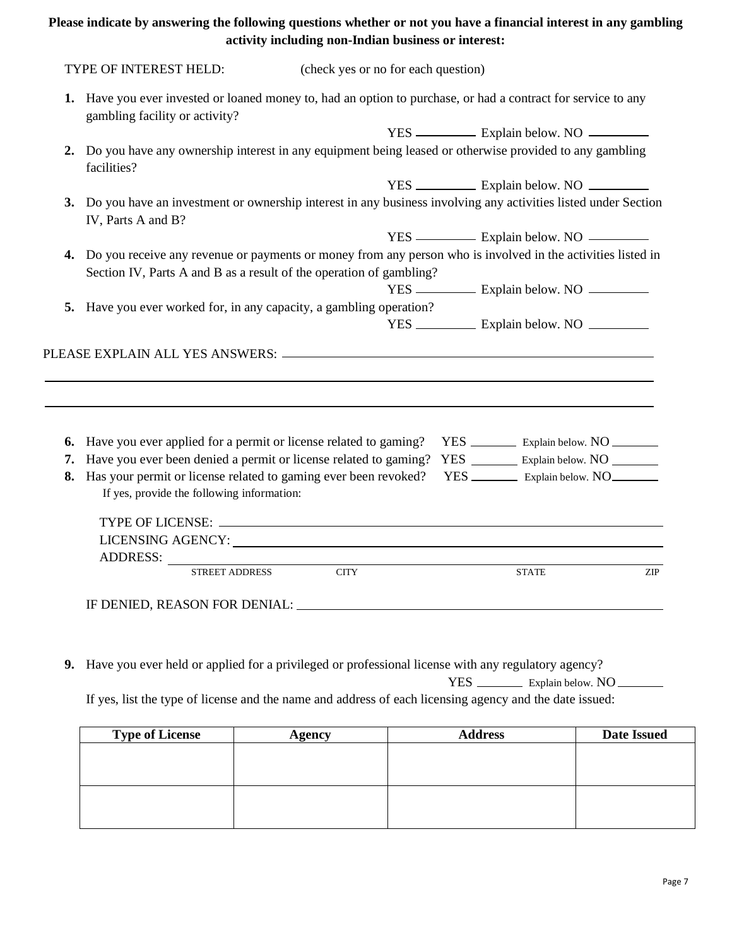### **Please indicate by answering the following questions whether or not you have a financial interest in any gambling activity including non-Indian business or interest:**

|    | 1. Have you ever invested or loaned money to, had an option to purchase, or had a contract for service to any                          |             |  |                                                   |            |
|----|----------------------------------------------------------------------------------------------------------------------------------------|-------------|--|---------------------------------------------------|------------|
|    | gambling facility or activity?                                                                                                         |             |  |                                                   |            |
|    |                                                                                                                                        |             |  | YES — Explain below. NO                           |            |
| 2. | Do you have any ownership interest in any equipment being leased or otherwise provided to any gambling<br>facilities?                  |             |  |                                                   |            |
|    |                                                                                                                                        |             |  | YES _______________ Explain below. NO             |            |
|    | 3. Do you have an investment or ownership interest in any business involving any activities listed under Section<br>IV, Parts A and B? |             |  |                                                   |            |
|    |                                                                                                                                        |             |  | YES — Explain below. NO                           |            |
|    | 4. Do you receive any revenue or payments or money from any person who is involved in the activities listed in                         |             |  |                                                   |            |
|    | Section IV, Parts A and B as a result of the operation of gambling?                                                                    |             |  |                                                   |            |
|    |                                                                                                                                        |             |  | YES ______________ Explain below. NO              |            |
|    |                                                                                                                                        |             |  |                                                   |            |
|    | 5. Have you ever worked for, in any capacity, a gambling operation?                                                                    |             |  |                                                   |            |
|    |                                                                                                                                        |             |  | YES ______________ Explain below. NO ____________ |            |
|    |                                                                                                                                        |             |  |                                                   |            |
| 6. |                                                                                                                                        |             |  | YES _____________ Explain below. NO ___________   |            |
| 7. | Have you ever applied for a permit or license related to gaming?<br>Have you ever been denied a permit or license related to gaming?   |             |  | YES _________ Explain below. NO                   |            |
| 8. | Has your permit or license related to gaming ever been revoked?<br>If yes, provide the following information:                          |             |  |                                                   |            |
|    |                                                                                                                                        |             |  |                                                   |            |
|    |                                                                                                                                        |             |  |                                                   |            |
|    |                                                                                                                                        |             |  |                                                   |            |
|    | ADDRESS:<br><b>STREET ADDRESS</b>                                                                                                      | <b>CITY</b> |  | <b>STATE</b>                                      | <b>ZIP</b> |

**9.** Have you ever held or applied for a privileged or professional license with any regulatory agency? YES \_\_\_\_\_\_\_\_\_\_ Explain below. NO \_\_\_\_\_\_\_

If yes, list the type of license and the name and address of each licensing agency and the date issued:

| <b>Type of License</b> | <b>Agency</b> | <b>Address</b> | <b>Date Issued</b> |
|------------------------|---------------|----------------|--------------------|
|                        |               |                |                    |
|                        |               |                |                    |
|                        |               |                |                    |
|                        |               |                |                    |
|                        |               |                |                    |
|                        |               |                |                    |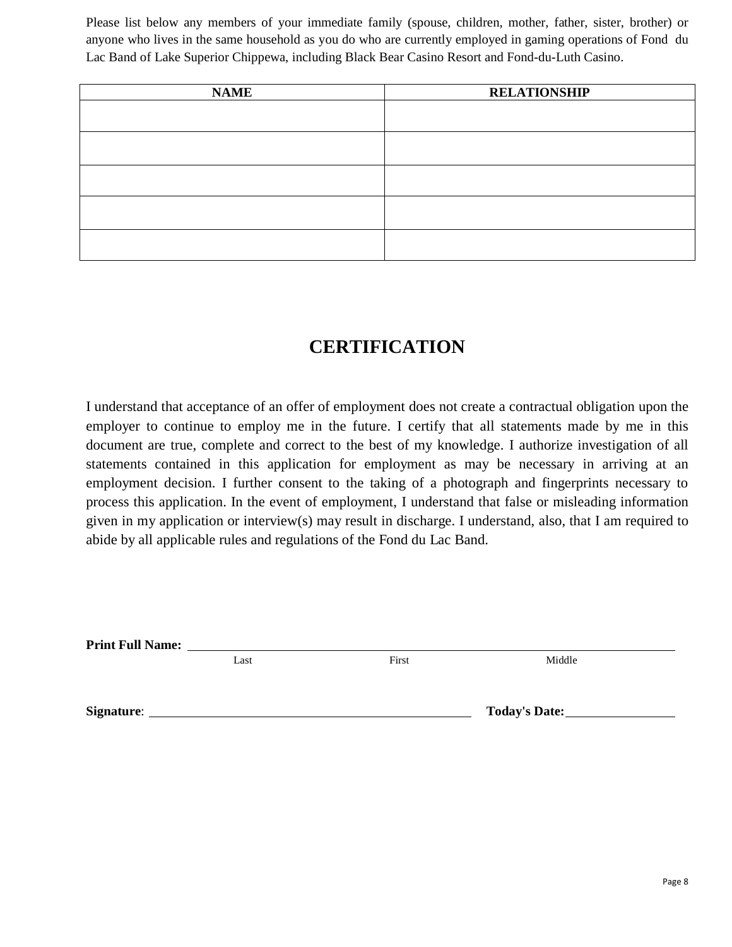Please list below any members of your immediate family (spouse, children, mother, father, sister, brother) or anyone who lives in the same household as you do who are currently employed in gaming operations of Fond du Lac Band of Lake Superior Chippewa, including Black Bear Casino Resort and Fond-du-Luth Casino.

| <b>NAME</b> | <b>RELATIONSHIP</b> |
|-------------|---------------------|
|             |                     |
|             |                     |
|             |                     |
|             |                     |
|             |                     |
|             |                     |
|             |                     |
|             |                     |
|             |                     |
|             |                     |

## **CERTIFICATION**

I understand that acceptance of an offer of employment does not create a contractual obligation upon the employer to continue to employ me in the future. I certify that all statements made by me in this document are true, complete and correct to the best of my knowledge. I authorize investigation of all statements contained in this application for employment as may be necessary in arriving at an employment decision. I further consent to the taking of a photograph and fingerprints necessary to process this application. In the event of employment, I understand that false or misleading information given in my application or interview(s) may result in discharge. I understand, also, that I am required to abide by all applicable rules and regulations of the Fond du Lac Band.

**Print Full Name:** 

Last **First** First Middle

**Signature**: **Today's Date:**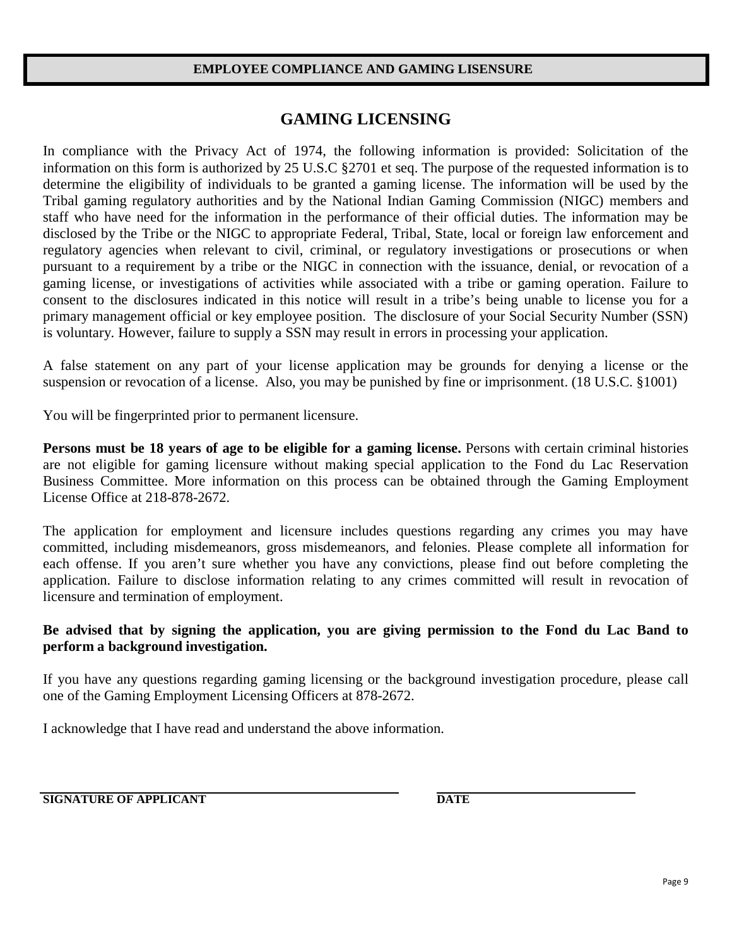### **EMPLOYEE COMPLIANCE AND GAMING LISENSURE**

## **GAMING LICENSING**

In compliance with the Privacy Act of 1974, the following information is provided: Solicitation of the information on this form is authorized by 25 U.S.C §2701 et seq. The purpose of the requested information is to determine the eligibility of individuals to be granted a gaming license. The information will be used by the Tribal gaming regulatory authorities and by the National Indian Gaming Commission (NIGC) members and staff who have need for the information in the performance of their official duties. The information may be disclosed by the Tribe or the NIGC to appropriate Federal, Tribal, State, local or foreign law enforcement and regulatory agencies when relevant to civil, criminal, or regulatory investigations or prosecutions or when pursuant to a requirement by a tribe or the NIGC in connection with the issuance, denial, or revocation of a gaming license, or investigations of activities while associated with a tribe or gaming operation. Failure to consent to the disclosures indicated in this notice will result in a tribe's being unable to license you for a primary management official or key employee position. The disclosure of your Social Security Number (SSN) is voluntary. However, failure to supply a SSN may result in errors in processing your application.

A false statement on any part of your license application may be grounds for denying a license or the suspension or revocation of a license. Also, you may be punished by fine or imprisonment. (18 U.S.C. §1001)

You will be fingerprinted prior to permanent licensure.

**Persons must be 18 years of age to be eligible for a gaming license.** Persons with certain criminal histories are not eligible for gaming licensure without making special application to the Fond du Lac Reservation Business Committee. More information on this process can be obtained through the Gaming Employment License Office at 218-878-2672.

The application for employment and licensure includes questions regarding any crimes you may have committed, including misdemeanors, gross misdemeanors, and felonies. Please complete all information for each offense. If you aren't sure whether you have any convictions, please find out before completing the application. Failure to disclose information relating to any crimes committed will result in revocation of licensure and termination of employment.

### **Be advised that by signing the application, you are giving permission to the Fond du Lac Band to perform a background investigation.**

If you have any questions regarding gaming licensing or the background investigation procedure, please call one of the Gaming Employment Licensing Officers at 878-2672.

I acknowledge that I have read and understand the above information.

**SIGNATURE OF APPLICANT DATE**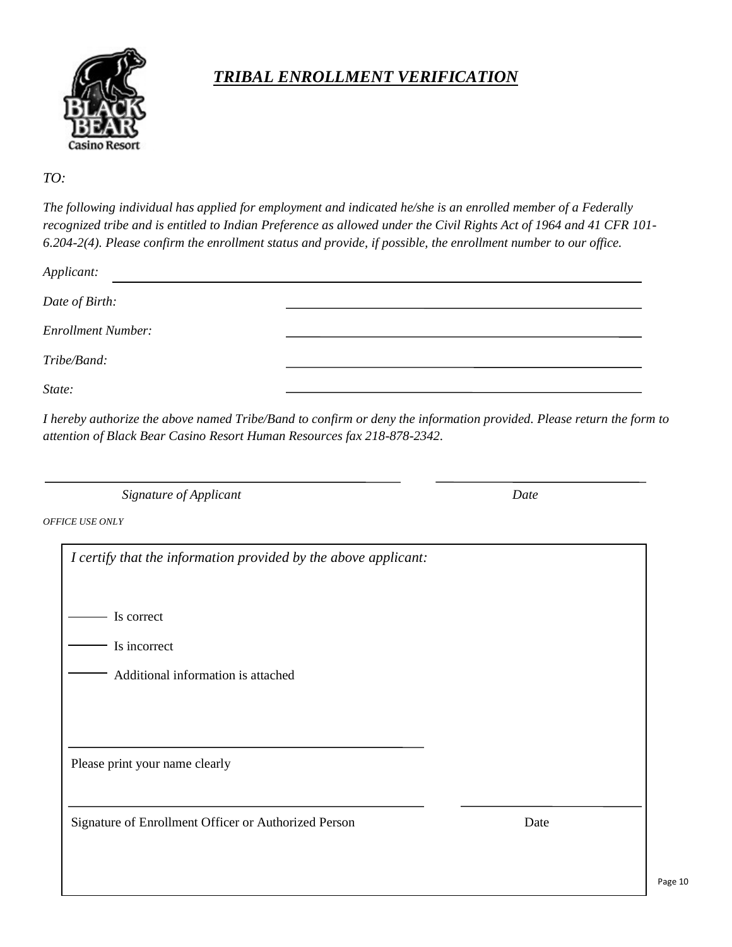

## *TRIBAL ENROLLMENT VERIFICATION*

### *TO:*

*The following individual has applied for employment and indicated he/she is an enrolled member of a Federally recognized tribe and is entitled to Indian Preference as allowed under the Civil Rights Act of 1964 and 41 CFR 101- 6.204-2(4). Please confirm the enrollment status and provide, if possible, the enrollment number to our office.*

| Applicant:                |  |
|---------------------------|--|
| Date of Birth:            |  |
| <b>Enrollment Number:</b> |  |
| Tribe/Band:               |  |
| State:                    |  |

*I hereby authorize the above named Tribe/Band to confirm or deny the information provided. Please return the form to attention of Black Bear Casino Resort Human Resources fax 218-878-2342.*

 *Signature of Applicant Date*

*OFFICE USE ONLY*

| I certify that the information provided by the above applicant: |      |
|-----------------------------------------------------------------|------|
|                                                                 |      |
| Is correct                                                      |      |
| Is incorrect                                                    |      |
| Additional information is attached                              |      |
|                                                                 |      |
|                                                                 |      |
| Please print your name clearly                                  |      |
|                                                                 |      |
| Signature of Enrollment Officer or Authorized Person            | Date |
|                                                                 |      |
|                                                                 |      |